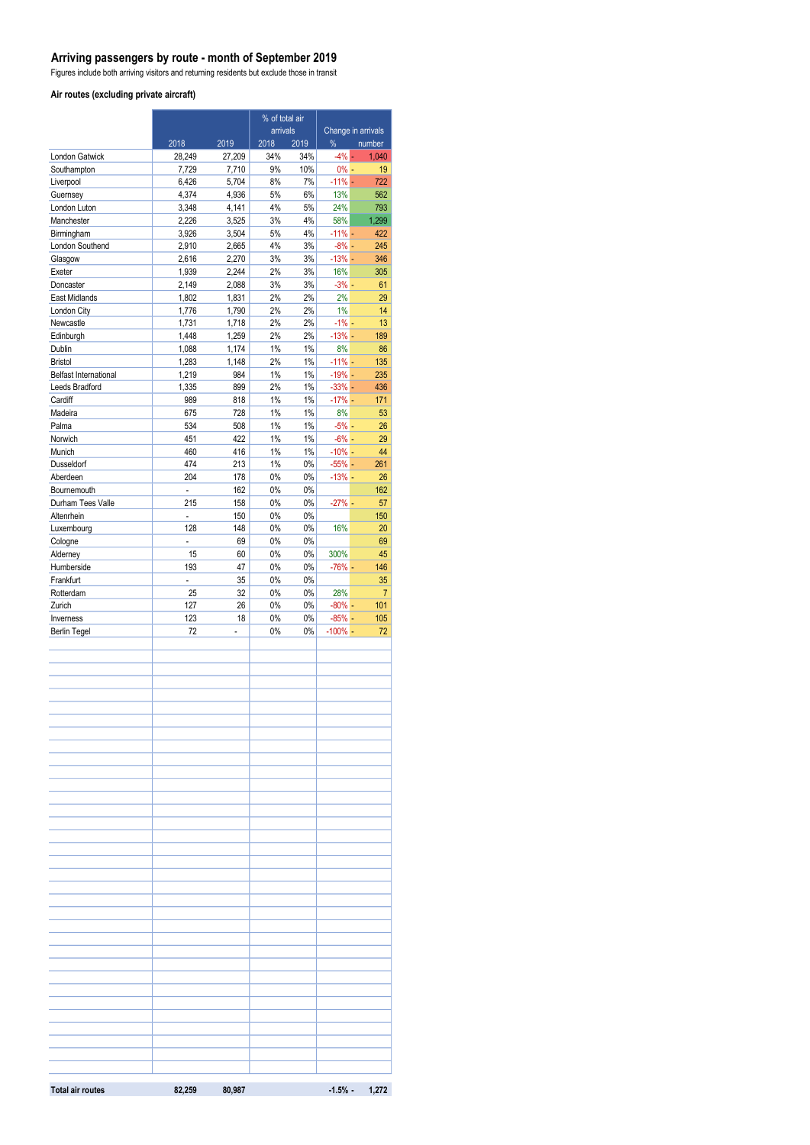### **Arriving passengers by route - month of September 2019**

Figures include both arriving visitors and returning residents but exclude those in transit

#### **Air routes (excluding private aircraft)**

|                          | % of total air           |                |                  |                |                      |                              |
|--------------------------|--------------------------|----------------|------------------|----------------|----------------------|------------------------------|
|                          | 2018                     | 2019           | arrivals<br>2018 | 2019           | %                    | Change in arrivals<br>number |
| London Gatwick           | 28,249                   | 27,209         | 34%              | 34%            | $-4\%$ -             | 1,040                        |
| Southampton              | 7,729                    | 7,710          | 9%               | 10%            | $0% -$               | 19                           |
| Liverpool                | 6,426                    | 5,704          | 8%               | 7%             | $-11\% -$            | 722                          |
| Guernsey                 | 4,374                    | 4,936          | 5%               | 6%             | 13%                  | 562                          |
| London Luton             | 3,348                    | 4,141          | 4%               | 5%             | 24%                  | 793                          |
| Manchester<br>Birmingham | 2,226<br>3,926           | 3,525<br>3,504 | 3%<br>5%         | 4%<br>4%       | 58%<br>$-11% -$      | 1,299<br>422                 |
| London Southend          | 2,910                    | 2,665          | 4%               | 3%             | $-8%$ -              | 245                          |
| Glasgow                  | 2,616                    | 2,270          | 3%               | 3%             | $-13%$ -             | 346                          |
| Exeter                   | 1,939                    | 2,244          | 2%               | 3%             | 16%                  | 305                          |
| Doncaster                | 2,149                    | 2,088          | 3%               | 3%             | $-3\%$ -             | 61                           |
| East Midlands            | 1,802                    | 1,831          | 2%               | 2%             | 2%                   | 29                           |
| London City              | 1,776                    | 1,790          | 2%               | 2%             | 1%                   | 14                           |
| Newcastle<br>Edinburgh   | 1,731<br>1,448           | 1,718<br>1,259 | 2%<br>2%         | 2%<br>2%       | $-1\% -$<br>$-13% -$ | 13<br>189                    |
| Dublin                   | 1,088                    | 1,174          | $1\%$            | $1\%$          | 8%                   | 86                           |
| <b>Bristol</b>           | 1,283                    | 1,148          | 2%               | $1\%$          | $-11%$ -             | 135                          |
| Belfast International    | 1,219                    | 984            | $1\%$            | $1\%$          | $-19%$ $-$           | 235                          |
| Leeds Bradford           | 1,335                    | 899            | 2%               | 1%             | $-33% -$             | 436                          |
| Cardiff                  | 989                      | 818            | $1\%$            | 1%             | $-17%$ -             | 171                          |
| Madeira                  | 675                      | 728            | $1\%$            | $1\%$          | 8%                   | 53                           |
| Palma                    | 534                      | 508            | 1%               | $1\%$          | $-5%$ -              | 26                           |
| Norwich<br>Munich        | 451<br>460               | 422<br>416     | $1\%$<br>1%      | $1\%$<br>$1\%$ | $-6% -$<br>$-10\%$ - | 29<br>44                     |
| Dusseldorf               | 474                      | 213            | $1\%$            | $0\%$          | $-55% -$             | 261                          |
| Aberdeen                 | 204                      | 178            | 0%               | $0\%$          | $-13%$ -             | 26                           |
| Bournemouth              | $\overline{a}$           | 162            | $0\%$            | $0\%$          |                      | 162                          |
| Durham Tees Valle        | 215                      | 158            | 0%               | 0%             | $-27%$ -             | 57                           |
| Altenrhein               | $\overline{\phantom{a}}$ | 150            | $0\%$            | 0%             |                      | 150                          |
| Luxembourg               | 128                      | 148            | 0%               | $0\%$          | 16%                  | 20                           |
| Cologne                  | $\overline{a}$           | 69             | 0%               | $0\%$          |                      | 69                           |
| Alderney<br>Humberside   | 15<br>193                | 60<br>47       | 0%<br>$0\%$      | $0\%$<br>$0\%$ | 300%<br>$-76%$ -     | 45<br>146                    |
| Frankfurt                | L,                       | 35             | $0\%$            | $0\%$          |                      | 35                           |
| Rotterdam                | 25                       | 32             | $0\%$            | 0%             | 28%                  | $\overline{7}$               |
| Zurich                   | 127                      | 26             | 0%               | 0%             | $-80%$ -             | 101                          |
| Inverness                | 123                      | 18             | 0%               | 0%             | $-85% -$             | 105                          |
| <b>Berlin Tegel</b>      | 72                       | $\overline{a}$ | 0%               | 0%             | $-100\%$ -           | 72                           |
|                          |                          |                |                  |                |                      |                              |
|                          |                          |                |                  |                |                      |                              |
|                          |                          |                |                  |                |                      |                              |
|                          |                          |                |                  |                |                      |                              |
|                          |                          |                |                  |                |                      |                              |
|                          |                          |                |                  |                |                      |                              |
|                          |                          |                |                  |                |                      |                              |
|                          |                          |                |                  |                |                      |                              |
|                          |                          |                |                  |                |                      |                              |
|                          |                          |                |                  |                |                      |                              |
|                          |                          |                |                  |                |                      |                              |
|                          |                          |                |                  |                |                      |                              |
|                          |                          |                |                  |                |                      |                              |
|                          |                          |                |                  |                |                      |                              |
|                          |                          |                |                  |                |                      |                              |
|                          |                          |                |                  |                |                      |                              |
|                          |                          |                |                  |                |                      |                              |
|                          |                          |                |                  |                |                      |                              |
|                          |                          |                |                  |                |                      |                              |
|                          |                          |                |                  |                |                      |                              |
|                          |                          |                |                  |                |                      |                              |
|                          |                          |                |                  |                |                      |                              |
|                          |                          |                |                  |                |                      |                              |
|                          |                          |                |                  |                |                      |                              |
|                          |                          |                |                  |                |                      |                              |
|                          |                          |                |                  |                |                      |                              |
|                          |                          |                |                  |                |                      |                              |
|                          |                          |                |                  |                |                      |                              |
|                          |                          |                |                  |                |                      |                              |
|                          |                          |                |                  |                |                      |                              |
| <b>Total air routes</b>  | 82,259                   | 80,987         |                  |                |                      | $-1.5\% - 1.272$             |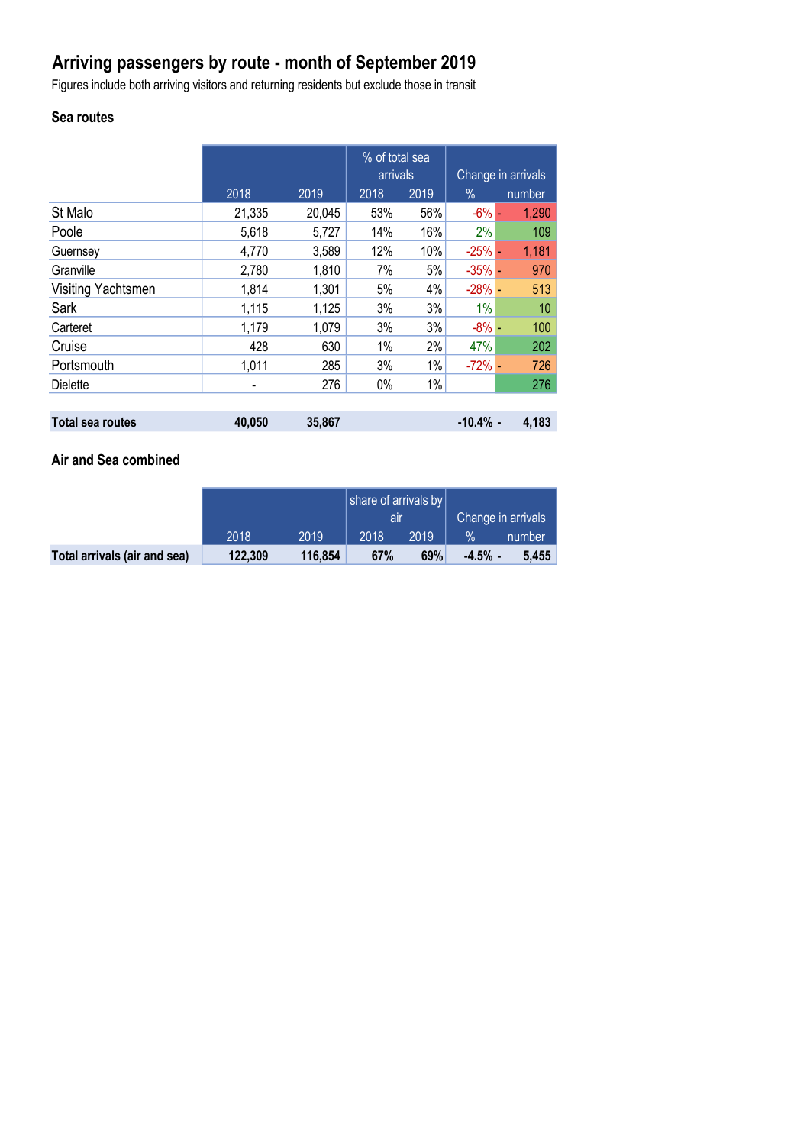# **Arriving passengers by route - month of September 2019**

Figures include both arriving visitors and returning residents but exclude those in transit

# **Sea routes**

|                         |                          |        | % of total sea<br>arrivals |       | Change in arrivals |        |  |
|-------------------------|--------------------------|--------|----------------------------|-------|--------------------|--------|--|
|                         | 2018                     | 2019   | 2018                       | 2019  | $\%$               | number |  |
| St Malo                 | 21,335                   | 20,045 | 53%                        | 56%   | $-6\%$ $-$         | 1,290  |  |
| Poole                   | 5,618                    | 5,727  | 14%                        | 16%   | 2%                 | 109    |  |
| Guernsey                | 4,770                    | 3,589  | 12%                        | 10%   | $-25%$ $-$         | 1,181  |  |
| Granville               | 2,780                    | 1,810  | 7%                         | 5%    | $-35%$ -           | 970    |  |
| Visiting Yachtsmen      | 1,814                    | 1,301  | 5%                         | 4%    | $-28% -$           | 513    |  |
| Sark                    | 1,115                    | 1,125  | 3%                         | 3%    | 1%                 | 10     |  |
| Carteret                | 1,179                    | 1,079  | 3%                         | 3%    | $-8\%$ -           | 100    |  |
| Cruise                  | 428                      | 630    | 1%                         | 2%    | 47%                | 202    |  |
| Portsmouth              | 1,011                    | 285    | 3%                         | $1\%$ | $-72%$ -           | 726    |  |
| <b>Dielette</b>         | $\overline{\phantom{a}}$ | 276    | 0%                         | $1\%$ |                    | 276    |  |
|                         |                          |        |                            |       |                    |        |  |
| <b>Total sea routes</b> | 40,050                   | 35,867 |                            |       | $-10.4%$ -         | 4,183  |  |

### **Air and Sea combined**

|                              |         |         | share of arrivals by |      |                    |        |
|------------------------------|---------|---------|----------------------|------|--------------------|--------|
|                              |         |         | air                  |      | Change in arrivals |        |
|                              | 2018    | 2019    | 2018                 | 2019 | $\%$               | number |
| Total arrivals (air and sea) | 122,309 | 116,854 | 67%                  | 69%  | $-4.5%$ -          | 5.455  |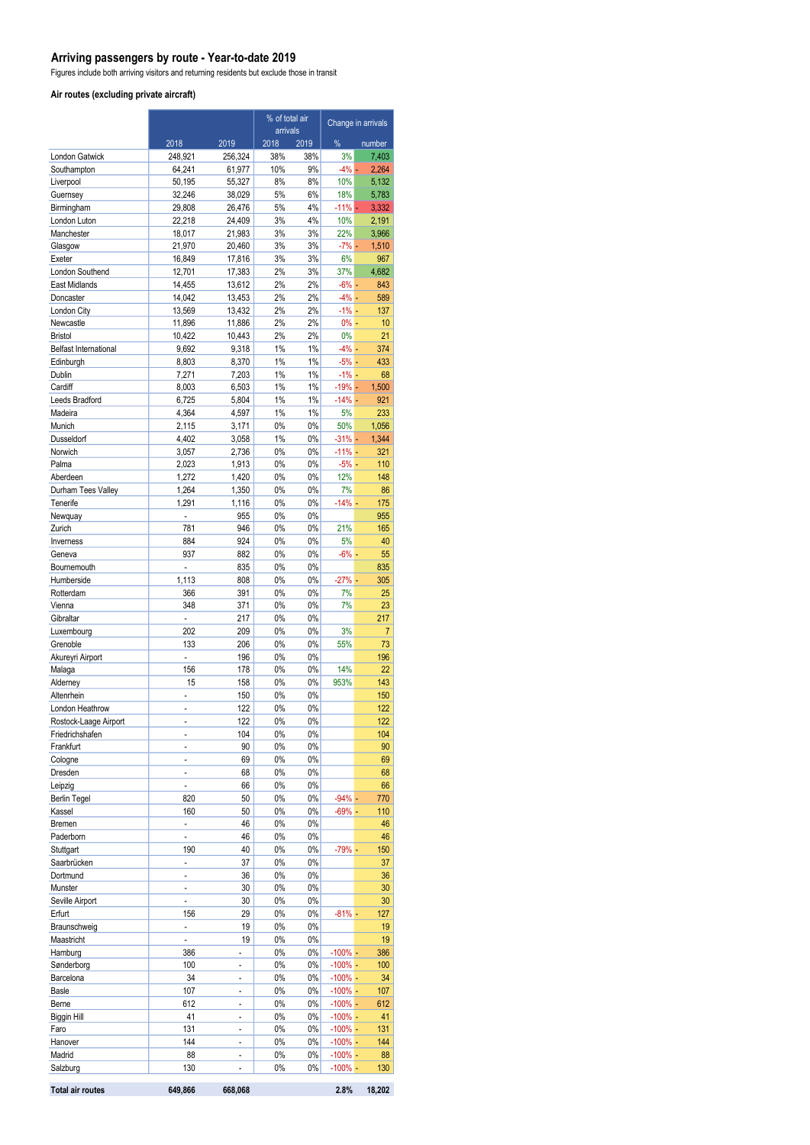### **Arriving passengers by route - Year-to-date 2019**

Figures include both arriving visitors and returning residents but exclude those in transit

#### **Air routes (excluding private aircraft)**

|                                |                          |                                | % of total air<br>arrivals |                | Change in arrivals      |                |
|--------------------------------|--------------------------|--------------------------------|----------------------------|----------------|-------------------------|----------------|
|                                | 2018                     | 2019                           | 2018                       | 2019           | %                       | number         |
| London Gatwick                 | 248,921                  | 256,324                        | 38%                        | 38%            | 3%                      | 7,403          |
| Southampton                    | 64,241                   | 61,977                         | 10%                        | 9%             | $-4%$ -                 | 2,264          |
| Liverpool                      | 50,195                   | 55,327                         | 8%                         | 8%             | 10%                     | 5,132          |
| Guernsey                       | 32,246                   | 38,029                         | 5%                         | 6%             | 18%                     | 5,783          |
| Birmingham<br>London Luton     | 29,808<br>22,218         | 26,476<br>24,409               | 5%<br>3%                   | 4%<br>4%       | $-11% -$<br>10%         | 3,332<br>2,191 |
| Manchester                     | 18,017                   | 21,983                         | 3%                         | 3%             | 22%                     | 3,966          |
| Glasgow                        | 21,970                   | 20,460                         | 3%                         | 3%             | $-7\%$ -                | 1,510          |
| Exeter                         | 16,849                   | 17,816                         | 3%                         | 3%             | 6%                      | 967            |
| London Southend                | 12,701                   | 17,383                         | 2%                         | 3%             | 37%                     | 4,682          |
| East Midlands                  | 14,455                   | 13,612                         | 2%                         | 2%             | $-6\%$ $-$              | 843            |
| Doncaster                      | 14,042                   | 13,453                         | 2%                         | 2%             | $-4%$ -                 | 589            |
| London City<br>Newcastle       | 13,569                   | 13,432                         | 2%<br>2%                   | 2%             | $-1\%$ –<br>$0% -$      | 137<br>10      |
| <b>Bristol</b>                 | 11,896<br>10,422         | 11,886<br>10,443               | 2%                         | 2%<br>2%       | 0%                      | 21             |
| <b>Belfast International</b>   | 9,692                    | 9,318                          | $1\%$                      | $1\%$          | $-4%$ -                 | 374            |
| Edinburgh                      | 8,803                    | 8,370                          | 1%                         | $1\%$          | $-5%$ -                 | 433            |
| Dublin                         | 7,271                    | 7,203                          | 1%                         | $1\%$          | $-1\%$ -                | 68             |
| Cardiff                        | 8,003                    | 6,503                          | 1%                         | $1\%$          | $-19% -$                | 1,500          |
| <b>Leeds Bradford</b>          | 6,725                    | 5,804                          | 1%                         | $1\%$          | $-14% -$                | 921            |
| Madeira                        | 4,364                    | 4,597                          | 1%                         | $1\%$          | 5%                      | 233            |
| Munich                         | 2,115                    | 3,171                          | 0%                         | 0%             | 50%                     | 1.056          |
| Dusseldorf<br>Norwich          | 4,402<br>3,057           | 3,058<br>2,736                 | 1%<br>0%                   | $0\%$<br>$0\%$ | $-31% -$<br>$-11% -$    | 1,344<br>321   |
| Palma                          | 2,023                    | 1,913                          | 0%                         | 0%             | $-5%$ $-$               | 110            |
| Aberdeen                       | 1,272                    | 1,420                          | 0%                         | 0%             | 12%                     | 148            |
| Durham Tees Valley             | 1,264                    | 1,350                          | 0%                         | 0%             | 7%                      | 86             |
| Tenerife                       | 1,291                    | 1,116                          | 0%                         | 0%             | $-14% -$                | 175            |
| Newquay                        | $\overline{a}$           | 955                            | 0%                         | 0%             |                         | 955            |
| Zurich                         | 781                      | 946                            | 0%                         | 0%             | 21%                     | 165            |
| Inverness                      | 884                      | 924                            | 0%                         | 0%             | 5%                      | 40             |
| Geneva<br>Bournemouth          | 937                      | 882<br>835                     | 0%<br>0%                   | 0%<br>$0\%$    | -6% -                   | 55<br>835      |
| Humberside                     | 1,113                    | 808                            | 0%                         | 0%             | $-27% -$                | 305            |
| Rotterdam                      | 366                      | 391                            | 0%                         | 0%             | 7%                      | 25             |
| Vienna                         | 348                      | 371                            | 0%                         | $0\%$          | 7%                      | 23             |
| Gibraltar                      | $\overline{a}$           | 217                            | 0%                         | 0%             |                         | 217            |
| Luxembourg                     | 202                      | 209                            | 0%                         | $0\%$          | 3%                      | $\overline{7}$ |
| Grenoble                       | 133                      | 206                            | 0%                         | 0%             | 55%                     | 73             |
| Akureyri Airport               | $\overline{a}$           | 196                            | 0%                         | 0%             |                         | 196            |
| Malaga<br>Alderney             | 156<br>15                | 178<br>158                     | 0%<br>0%                   | 0%<br>0%       | 14%<br>953%             | 22<br>143      |
| Altenrhein                     | L,                       | 150                            | 0%                         | $0\%$          |                         | 150            |
| London Heathrow                | $\overline{a}$           | 122                            | 0%                         | 0%             |                         | 122            |
| Rostock-Laage Airport          |                          | 122                            | $0\%$                      | $0\%$          |                         | 122            |
| Friedrichshafen                |                          | 104                            | 0%                         | 0%             |                         | 104            |
| Frankfurt                      |                          | 90                             | 0%                         | 0%             |                         | 90             |
| Cologne                        | $\overline{\phantom{0}}$ | 69                             | 0%                         | 0%             |                         | 69             |
| Dresden                        | $\overline{a}$           | 68                             | 0%                         | 0%             |                         | 68             |
| Leipzig<br><b>Berlin Tegel</b> | $\overline{a}$           | 66<br>50                       | 0%<br>0%                   | $0\%$<br>0%    | $-94%$ -                | 66             |
| Kassel                         | 820<br>160               | 50                             | 0%                         | 0%             | $-69% -$                | 770<br>110     |
| Bremen                         | -                        | 46                             | 0%                         | 0%             |                         | 46             |
| Paderborn                      |                          | 46                             | 0%                         | 0%             |                         | 46             |
| Stuttgart                      | 190                      | 40                             | 0%                         | 0%             | $-79%$ -                | 150            |
| Saarbrücken                    | $\overline{\phantom{a}}$ | 37                             | 0%                         | 0%             |                         | 37             |
| Dortmund                       | L                        | 36                             | 0%                         | 0%             |                         | 36             |
| Munster                        | $\overline{a}$           | 30                             | 0%                         | 0%             |                         | 30             |
| Seville Airport<br>Erfurt      | 156                      | 30<br>29                       | 0%<br>0%                   | 0%<br>0%       | $-81% -$                | 30<br>127      |
| Braunschweig                   | L,                       | 19                             | 0%                         | 0%             |                         | 19             |
| Maastricht                     | $\overline{a}$           | 19                             | 0%                         | 0%             |                         | 19             |
| Hamburg                        | 386                      | $\overline{a}$                 | 0%                         | 0%             | $-100\%$ -              | 386            |
| Sønderborg                     | 100                      | $\overline{a}$                 | 0%                         | 0%             | $-100\%$ -              | 100            |
| Barcelona                      | 34                       | -                              | 0%                         | 0%             | $-100\%$ -              | 34             |
| <b>Basle</b>                   | 107                      |                                | 0%                         | 0%             | $-100\%$ -              | 107            |
| Berne                          | 612                      | -                              | 0%                         | 0%             | $-100\%$ -              | 612            |
| Biggin Hill                    | 41                       | -                              | 0%                         | 0%             | $-100\%$ -              | 41             |
| Faro<br>Hanover                | 131<br>144               | $\overline{\phantom{a}}$<br>L, | 0%<br>0%                   | 0%<br>0%       | $-100\%$ -<br>$-100%$ - | 131<br>144     |
| Madrid                         | 88                       | $\overline{a}$                 | 0%                         | 0%             | $-100%$ -               | 88             |
| Salzburg                       | 130                      | -                              | 0%                         | 0%             | $-100\%$ -              | 130            |
| <b>Total air routes</b>        | 649,866                  | 668,068                        |                            |                | 2.8%                    | 18,202         |
|                                |                          |                                |                            |                |                         |                |